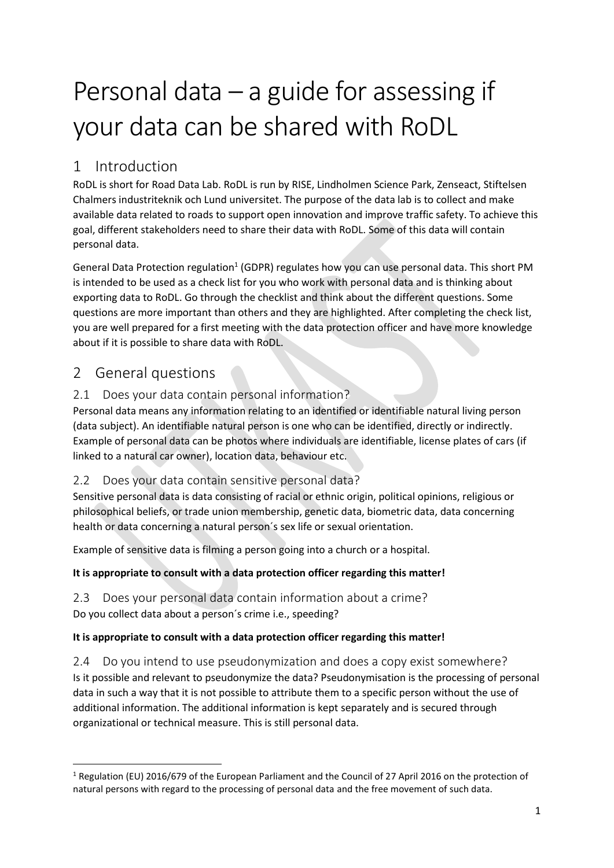# Personal data  $-$  a guide for assessing if your data can be shared with RoDL

# 1 Introduction

RoDL is short for Road Data Lab. RoDL is run by RISE, Lindholmen Science Park, Zenseact, Stiftelsen Chalmers industriteknik och Lund universitet. The purpose of the data lab is to collect and make available data related to roads to support open innovation and improve traffic safety. To achieve this goal, different stakeholders need to share their data with RoDL. Some of this data will contain personal data.

General Data Protection regulation<sup>1</sup> (GDPR) regulates how you can use personal data. This short PM is intended to be used as a check list for you who work with personal data and is thinking about exporting data to RoDL. Go through the checklist and think about the different questions. Some questions are more important than others and they are highlighted. After completing the check list, you are well prepared for a first meeting with the data protection officer and have more knowledge about if it is possible to share data with RoDL.

# 2 General questions

## 2.1 Does your data contain personal information?

Personal data means any information relating to an identified or identifiable natural living person (data subject). An identifiable natural person is one who can be identified, directly or indirectly. Example of personal data can be photos where individuals are identifiable, license plates of cars (if linked to a natural car owner), location data, behaviour etc.

## 2.2 Does your data contain sensitive personal data?

Sensitive personal data is data consisting of racial or ethnic origin, political opinions, religious or philosophical beliefs, or trade union membership, genetic data, biometric data, data concerning health or data concerning a natural person´s sex life or sexual orientation.

Example of sensitive data is filming a person going into a church or a hospital.

#### **It is appropriate to consult with a data protection officer regarding this matter!**

2.3 Does your personal data contain information about a crime? Do you collect data about a person´s crime i.e., speeding?

#### **It is appropriate to consult with a data protection officer regarding this matter!**

2.4 Do you intend to use pseudonymization and does a copy exist somewhere? Is it possible and relevant to pseudonymize the data? Pseudonymisation is the processing of personal data in such a way that it is not possible to attribute them to a specific person without the use of additional information. The additional information is kept separately and is secured through organizational or technical measure. This is still personal data.

<sup>1</sup> Regulation (EU) 2016/679 of the European Parliament and the Council of 27 April 2016 on the protection of natural persons with regard to the processing of personal data and the free movement of such data.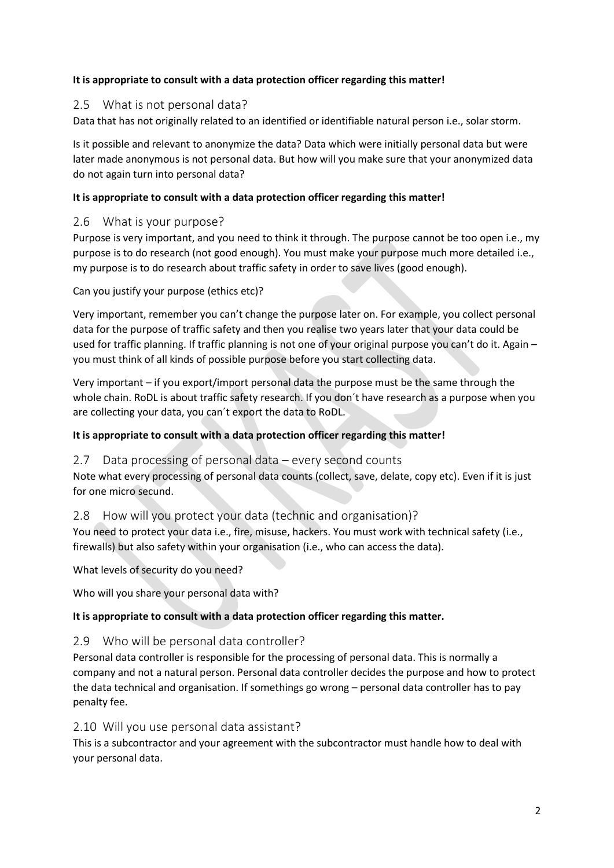#### **It is appropriate to consult with a data protection officer regarding this matter!**

#### 2.5 What is not personal data?

Data that has not originally related to an identified or identifiable natural person i.e., solar storm.

Is it possible and relevant to anonymize the data? Data which were initially personal data but were later made anonymous is not personal data. But how will you make sure that your anonymized data do not again turn into personal data?

#### **It is appropriate to consult with a data protection officer regarding this matter!**

#### 2.6 What is your purpose?

Purpose is very important, and you need to think it through. The purpose cannot be too open i.e., my purpose is to do research (not good enough). You must make your purpose much more detailed i.e., my purpose is to do research about traffic safety in order to save lives (good enough).

Can you justify your purpose (ethics etc)?

Very important, remember you can't change the purpose later on. For example, you collect personal data for the purpose of traffic safety and then you realise two years later that your data could be used for traffic planning. If traffic planning is not one of your original purpose you can't do it. Again – you must think of all kinds of possible purpose before you start collecting data.

Very important – if you export/import personal data the purpose must be the same through the whole chain. RoDL is about traffic safety research. If you don´t have research as a purpose when you are collecting your data, you can´t export the data to RoDL.

#### **It is appropriate to consult with a data protection officer regarding this matter!**

2.7 Data processing of personal data – every second counts

Note what every processing of personal data counts (collect, save, delate, copy etc). Even if it is just for one micro secund.

#### 2.8 How will you protect your data (technic and organisation)?

You need to protect your data i.e., fire, misuse, hackers. You must work with technical safety (i.e., firewalls) but also safety within your organisation (i.e., who can access the data).

What levels of security do you need?

Who will you share your personal data with?

#### **It is appropriate to consult with a data protection officer regarding this matter.**

#### 2.9 Who will be personal data controller?

Personal data controller is responsible for the processing of personal data. This is normally a company and not a natural person. Personal data controller decides the purpose and how to protect the data technical and organisation. If somethings go wrong – personal data controller has to pay penalty fee.

#### 2.10 Will you use personal data assistant?

This is a subcontractor and your agreement with the subcontractor must handle how to deal with your personal data.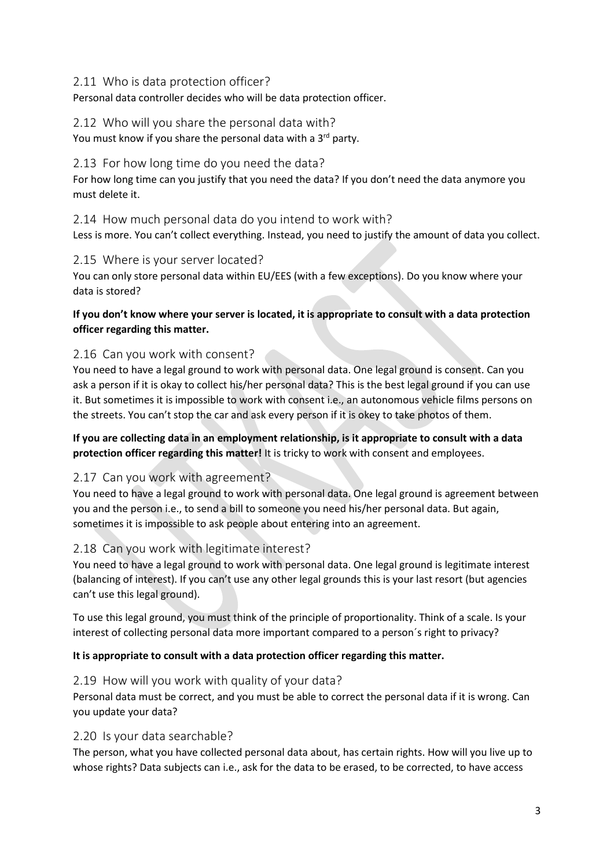#### 2.11 Who is data protection officer?

Personal data controller decides who will be data protection officer.

#### 2.12 Who will you share the personal data with?

You must know if you share the personal data with a 3<sup>rd</sup> party.

#### 2.13 For how long time do you need the data?

For how long time can you justify that you need the data? If you don't need the data anymore you must delete it.

2.14 How much personal data do you intend to work with? Less is more. You can't collect everything. Instead, you need to justify the amount of data you collect.

#### 2.15 Where is your server located?

You can only store personal data within EU/EES (with a few exceptions). Do you know where your data is stored?

#### **If you don't know where your server is located, it is appropriate to consult with a data protection officer regarding this matter.**

#### 2.16 Can you work with consent?

You need to have a legal ground to work with personal data. One legal ground is consent. Can you ask a person if it is okay to collect his/her personal data? This is the best legal ground if you can use it. But sometimes it is impossible to work with consent i.e., an autonomous vehicle films persons on the streets. You can't stop the car and ask every person if it is okey to take photos of them.

#### **If you are collecting data in an employment relationship, is it appropriate to consult with a data protection officer regarding this matter!** It is tricky to work with consent and employees.

#### 2.17 Can you work with agreement?

You need to have a legal ground to work with personal data. One legal ground is agreement between you and the person i.e., to send a bill to someone you need his/her personal data. But again, sometimes it is impossible to ask people about entering into an agreement.

#### 2.18 Can you work with legitimate interest?

You need to have a legal ground to work with personal data. One legal ground is legitimate interest (balancing of interest). If you can't use any other legal grounds this is your last resort (but agencies can't use this legal ground).

To use this legal ground, you must think of the principle of proportionality. Think of a scale. Is your interest of collecting personal data more important compared to a person´s right to privacy?

#### **It is appropriate to consult with a data protection officer regarding this matter.**

#### 2.19 How will you work with quality of your data?

Personal data must be correct, and you must be able to correct the personal data if it is wrong. Can you update your data?

#### 2.20 Is your data searchable?

The person, what you have collected personal data about, has certain rights. How will you live up to whose rights? Data subjects can i.e., ask for the data to be erased, to be corrected, to have access